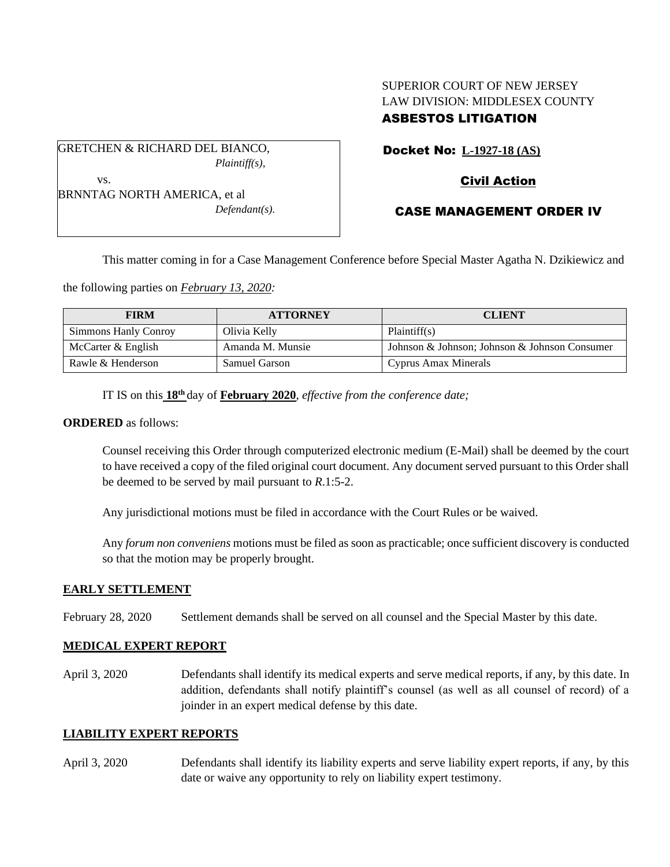# SUPERIOR COURT OF NEW JERSEY LAW DIVISION: MIDDLESEX COUNTY ASBESTOS LITIGATION

Docket No: **L-1927-18 (AS)**

GRETCHEN & RICHARD DEL BIANCO,

vs.

*Plaintiff(s),*

# Civil Action

CASE MANAGEMENT ORDER IV

BRNNTAG NORTH AMERICA, et al *Defendant(s).*

This matter coming in for a Case Management Conference before Special Master Agatha N. Dzikiewicz and

the following parties on *February 13, 2020:*

| <b>FIRM</b>          | <b>ATTORNEY</b>  | <b>CLIENT</b>                                 |
|----------------------|------------------|-----------------------------------------------|
| Simmons Hanly Conroy | Olivia Kelly     | Plaintiff(s)                                  |
| McCarter & English   | Amanda M. Munsie | Johnson & Johnson; Johnson & Johnson Consumer |
| Rawle & Henderson    | Samuel Garson    | Cyprus Amax Minerals                          |

IT IS on this **18th** day of **February 2020**, *effective from the conference date;*

## **ORDERED** as follows:

Counsel receiving this Order through computerized electronic medium (E-Mail) shall be deemed by the court to have received a copy of the filed original court document. Any document served pursuant to this Order shall be deemed to be served by mail pursuant to *R*.1:5-2.

Any jurisdictional motions must be filed in accordance with the Court Rules or be waived.

Any *forum non conveniens* motions must be filed as soon as practicable; once sufficient discovery is conducted so that the motion may be properly brought.

## **EARLY SETTLEMENT**

February 28, 2020 Settlement demands shall be served on all counsel and the Special Master by this date.

# **MEDICAL EXPERT REPORT**

April 3, 2020 Defendants shall identify its medical experts and serve medical reports, if any, by this date. In addition, defendants shall notify plaintiff's counsel (as well as all counsel of record) of a joinder in an expert medical defense by this date.

## **LIABILITY EXPERT REPORTS**

April 3, 2020 Defendants shall identify its liability experts and serve liability expert reports, if any, by this date or waive any opportunity to rely on liability expert testimony.